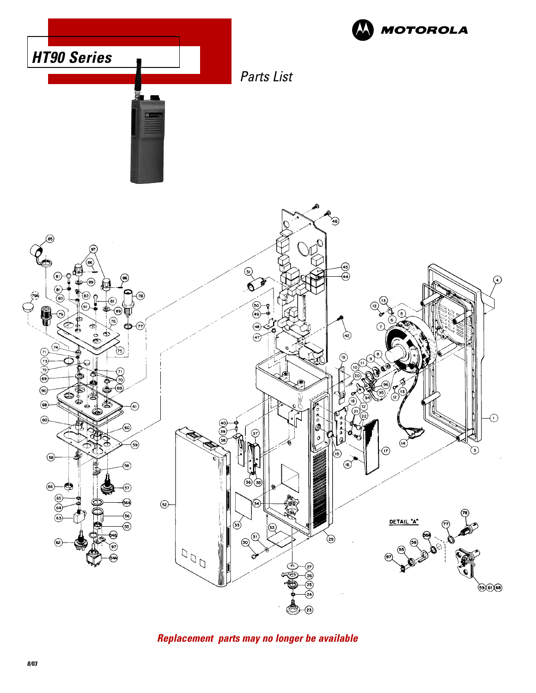

**Replacement parts may no longer be available**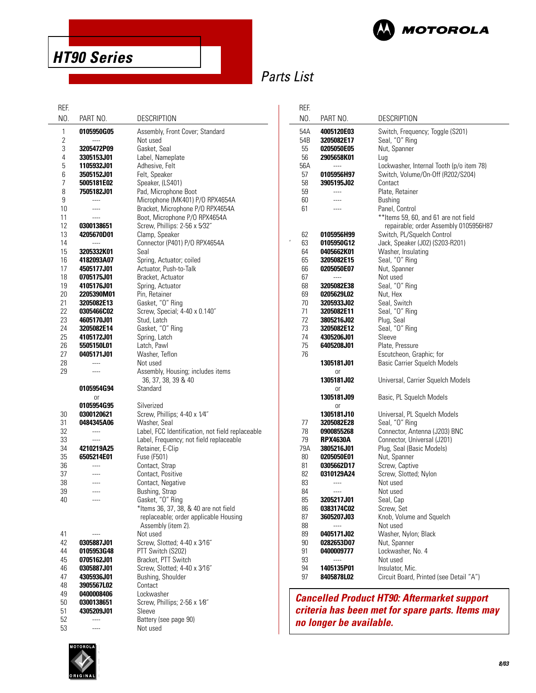

**HT90 Series**

# Parts List

| REF.     |                          |                                                  | REF. |                         |                                                    |
|----------|--------------------------|--------------------------------------------------|------|-------------------------|----------------------------------------------------|
| NO.      | PART NO.                 | <b>DESCRIPTION</b>                               | NO.  | PART NO.                | <b>DESCRIPTION</b>                                 |
| 1        | 0105950G05               | Assembly, Front Cover; Standard                  | 54A  | 4005120E03              | Switch, Frequency; Toggle (S201)                   |
| 2        | $\overline{a}$           | Not used                                         | 54B  | 3205082E17              | Seal, "O" Ring                                     |
| 3        | 3205472P09               | Gasket, Seal                                     | 55   | 0205050E05              | Nut, Spanner                                       |
| 4        | 3305153J01               | Label, Nameplate                                 | 56   | 2905658K01              | Lug                                                |
| 5        | 1105932J01               | Adhesive, Felt                                   | 56A  | ----                    | Lockwasher, Internal Tooth (p/o item 78)           |
| 6        | 3505152J01               | Felt, Speaker                                    | 57   | 0105956H97              | Switch, Volume/On-Off (R202/S204)                  |
| 7        | 5005181E02               | Speaker, (LS401)                                 | 58   | 3905195J02              | Contact                                            |
| 8        | 7505182J01               | Pad, Microphone Boot                             | 59   | ----                    | Plate, Retainer                                    |
| 9        | ----                     | Microphone (MK401) P/O RPX4654A                  | 60   | $\cdots$                | <b>Bushing</b>                                     |
| 10       | $---$                    | Bracket, Microphone P/O RPX4654A                 | 61   | $---$                   | Panel, Control                                     |
| 11       | ----                     | Boot, Microphone P/O RPX4654A                    |      |                         | ** Items 59, 60, and 61 are not field              |
| 12       | 0300138651               | Screw, Phillips: 2-56 x 5/32"                    |      |                         | repairable; order Assembly 0105956H87              |
| 13       | 4205670D01               | Clamp, Speaker                                   | 62   | 0105956H99              | Switch, PL/Squelch Control                         |
| 14       | $\overline{a}$           | Connector (P401) P/O RPX4654A                    | 63   | 0105950G12              | Jack, Speaker (J02) (S203-R201)                    |
| 15       | 3205332K01               | Seal                                             | 64   | 0405662K01              | Washer, Insulating                                 |
| 16       | 4182093A07               | Spring, Actuator; coiled                         | 65   | 3205082E15              | Seal, "O" Ring                                     |
| 17       | 4505177J01               | Actuator, Push-to-Talk                           | 66   | 0205050E07              | Nut, Spanner                                       |
| 18       | 0705175J01               | Bracket, Actuator                                | 67   | $\overline{a}$          | Not used                                           |
| 19       | 4105176J01               | Spring, Actuator                                 | 68   | 3205082E38              | Seal, "O" Ring                                     |
| 20       | 2205390M01               | Pin, Retainer                                    | 69   | 0205629L02              | Nut. Hex                                           |
| 21       | 3205082E13               | Gasket, "O" Ring                                 | 70   | 3205933J02              | Seal, Switch                                       |
| 22       | 0305466C02               | Screw, Special; 4-40 x 0.140"                    | 71   | 3205082E11              | Seal, "O" Ring                                     |
| 23       | 4605170J01               | Stud, Latch                                      | 72   | 3805216J02              | Plug, Seal                                         |
| 24       | 3205082E14               | Gasket, "O" Ring                                 | 73   | 3205082E12              | Seal, "O" Ring                                     |
| 25       | 4105172J01               | Spring, Latch                                    | 74   | 4305206J01              | Sleeve                                             |
| 26       | 5505150L01               | Latch, Pawl                                      | 75   | 6405208J01              | Plate, Pressure                                    |
| 27       | 0405171J01               | Washer, Teflon                                   | 76   |                         | Escutcheon, Graphic; for                           |
| 28       | ----                     | Not used                                         |      | 1305181J01              | Basic Carrier Squelch Models                       |
| 29       | $---$                    | Assembly, Housing; includes items                |      | 0r                      |                                                    |
|          |                          | 36, 37, 38, 39 & 40                              |      | 1305181J02              | Universal, Carrier Squelch Models                  |
|          | 0105954G94               | Standard                                         |      | 0r                      |                                                    |
|          | or                       |                                                  |      | 1305181J09              | Basic, PL Squelch Models                           |
|          | 0105954G95               | Silverized                                       |      | 0r                      |                                                    |
| 30       | 0300120621               | Screw, Phillips; 4-40 x 1/4"                     |      | 1305181J10              | Universal, PL Squelch Models                       |
| 31       | 0484345A06               | Washer, Seal                                     | 77   | 3205082E28              | Seal, "O" Ring                                     |
| 32       | ----                     | Label, FCC Identification, not field replaceable | 78   | 0900855268              | Connector, Antenna (J203) BNC                      |
| 33       | $\cdots$                 | Label, Frequency; not field replaceable          | 79   | <b>RPX4630A</b>         | Connector, Universal (J201)                        |
| 34       | 4210219A25               | Retainer, E-Clip                                 | 79A  | 3805216J01              | Plug, Seal (Basic Models)                          |
| 35       | 6505214E01               | Fuse (F501)                                      | 80   | 0205050E01              | Nut, Spanner                                       |
| 36       | ----                     | Contact, Strap                                   | 81   | 0305662D17              | Screw, Captive                                     |
| 37       | $---$                    | Contact, Positive                                | 82   | 0310129A24              | Screw, Slotted; Nylon                              |
| 38       |                          | Contact, Negative                                | 83   |                         | Not used                                           |
| 39       | $---$                    | Bushing, Strap                                   | 84   | ----                    | Not used                                           |
| 40       | ----                     | Gasket, "O" Ring                                 | 85   | 3205217J01              | Seal, Cap                                          |
|          |                          | *Items 36, 37, 38, & 40 are not field            | 86   | 0383174C02              | Screw, Set                                         |
|          |                          | replaceable; order applicable Housing            | 87   | 3605207J03              | Knob, Volume and Squelch                           |
|          |                          | Assembly (item 2).                               | 88   | ----                    | Not used                                           |
| 41       | $---$                    | Not used                                         | 89   | 0405171J02              | Washer, Nylon; Black                               |
| 42       | 0305887J01               | Screw, Slotted; 4-40 x 3/16"                     | 90   | 0282653D07              | Nut, Spanner                                       |
|          |                          |                                                  | 91   |                         |                                                    |
| 44       | 0105953G48<br>0705162J01 | PTT Switch (S202)<br>Bracket, PTT Switch         | 93   | 0400009777<br>----      | Lockwasher, No. 4<br>Not used                      |
| 45       | 0305887J01               | Screw, Slotted; 4-40 x 3/16"                     | 94   | 1405135P01              | Insulator, Mic.                                    |
| 46       | 4305936J01               | Bushing, Shoulder                                | 97   | 8405878L02              | Circuit Board, Printed (see Detail "A")            |
| 47<br>48 | 3905567L02               | Contact                                          |      |                         |                                                    |
|          |                          | Lockwasher                                       |      |                         |                                                    |
| 49       | 0400008406               |                                                  |      |                         | <b>Cancelled Product HT90: Aftermarket support</b> |
| 50<br>51 | 0300138651<br>4305209J01 | Screw, Phillips; 2-56 x 1/8"<br>Sleeve           |      |                         | criteria has been met for spare parts. Items ma    |
| 52       | $\cdots$                 | Battery (see page 90)                            |      |                         |                                                    |
|          |                          |                                                  |      | no longar ha availahla. |                                                    |



53 ---- Not used

oard, Printed (see Detail "A") **Aftermarket support** spare parts. Items may **no longer be available.**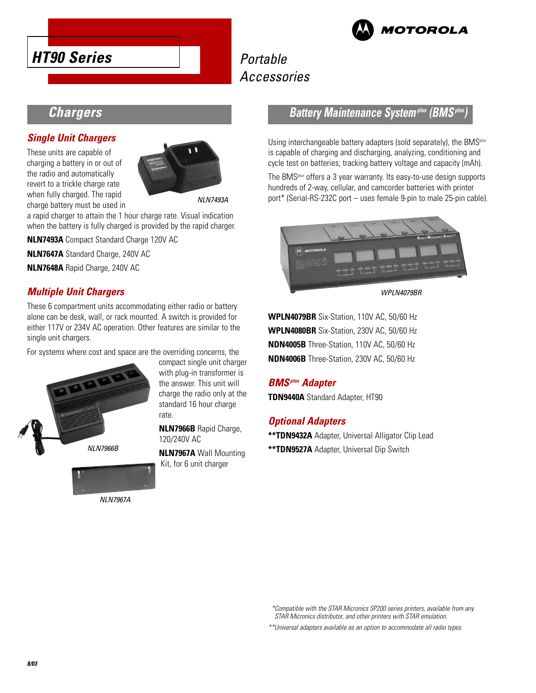



# Portable Accessories

### **Chargers**

### **Single Unit Chargers**

These units are capable of charging a battery in or out of the radio and automatically revert to a trickle charge rate when fully charged. The rapid charge battery must be used in



NLN7493A

a rapid charger to attain the 1 hour charge rate. Visual indication when the battery is fully charged is provided by the rapid charger.

**NLN7493A** Compact Standard Charge 120V AC

**NLN7647A** Standard Charge, 240V AC

**NLN7648A** Rapid Charge, 240V AC

### **Multiple Unit Chargers**

These 6 compartment units accommodating either radio or battery alone can be desk, wall, or rack mounted. A switch is provided for either 117V or 234V AC operation. Other features are similar to the single unit chargers.

For systems where cost and space are the overriding concerns, the



compact single unit charger with plug-in transformer is the answer. This unit will charge the radio only at the standard 16 hour charge rate.

**NLN7966B** Rapid Charge, 120/240V AC

**NLN7967A** Wall Mounting Kit, for 6 unit charger



NLN7967A

### **Battery Maintenance Systemplus (BMSplus)**

Using interchangeable battery adapters (sold separately), the BMS<sup>plus</sup> is capable of charging and discharging, analyzing, conditioning and cycle test on batteries; tracking battery voltage and capacity (mAh).

The BMSplus offers a 3 year warranty. Its easy-to-use design supports hundreds of 2-way, cellular, and camcorder batteries with printer port\* (Serial-RS-232C port – uses female 9-pin to male 25-pin cable).



WPLN4079BR

**WPLN4079BR** Six-Station, 110V AC, 50/60 Hz **WPLN4080BR** Six-Station, 230V AC, 50/60 Hz **NDN4005B** Three-Station, 110V AC, 50/60 Hz **NDN4006B** Three-Station, 230V AC, 50/60 Hz

### **BMSplus Adapter**

**TDN9440A** Standard Adapter, HT90

### **Optional Adapters**

**\*\*TDN9432A** Adapter, Universal Alligator Clip Lead **\*\*TDN9527A** Adapter, Universal Dip Switch

\*Compatible with the STAR Micronics SP200 series printers, available from any STAR Micronics distributor, and other printers with STAR emulation.

\*\*Universal adapters available as an option to accommodate all radio types.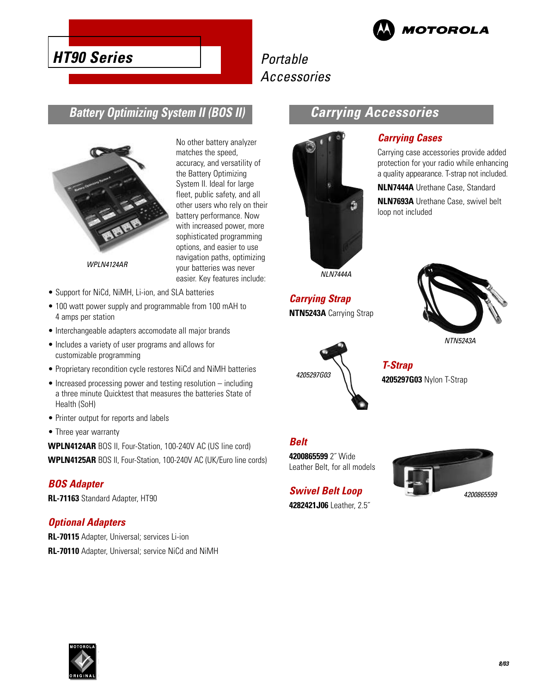

**Carrying Accessories**

**Carrying Cases**

loop not included

Carrying case accessories provide added protection for your radio while enhancing a quality appearance. T-strap not included. **NLN7444A** Urethane Case, Standard **NLN7693A** Urethane Case, swivel belt

# **HT90 Series**

# Portable Accessories

### **Battery Optimizing System II (BOS II)**



WPLN4124AR

- Support for NiCd, NiMH, Li-ion, and SLA batteries
- 100 watt power supply and programmable from 100 mAH to 4 amps per station
- Interchangeable adapters accomodate all major brands
- Includes a variety of user programs and allows for customizable programming
- Proprietary recondition cycle restores NiCd and NiMH batteries
- Increased processing power and testing resolution including a three minute Quicktest that measures the batteries State of Health (SoH)
- Printer output for reports and labels
- Three year warranty

**WPLN4124AR** BOS II, Four-Station, 100-240V AC (US line cord)

# **WPLN4125AR** BOS II, Four-Station, 100-240V AC (UK/Euro line cords)

#### **BOS Adapter**

**RL-71163** Standard Adapter, HT90

#### **Optional Adapters**

**RL-70115** Adapter, Universal; services Li-ion **RL-70110** Adapter, Universal; service NiCd and NiMH

#### No other battery analyzer matches the speed, accuracy, and versatility of the Battery Optimizing System II. Ideal for large fleet, public safety, and all other users who rely on their battery performance. Now with increased power, more sophisticated programming options, and easier to use navigation paths, optimizing your batteries was never easier. Key features include:

**Carrying Strap NTN5243A** Carrying Strap

NLN7444A

ŵ

NTN5243A



**T-Strap 4205297G03** Nylon T-Strap

### **Belt**

**4200865599** 2˝ Wide Leather Belt, for all models

**Swivel Belt Loop 4282421J06** Leather, 2.5˝



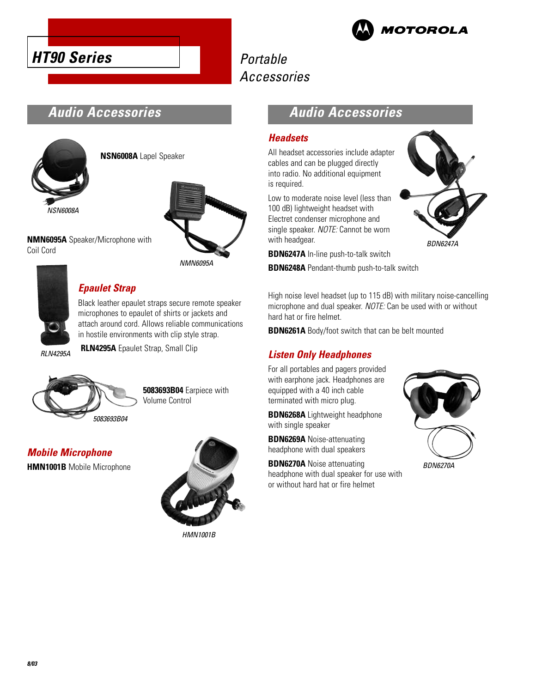



# Portable Accessories

## **Audio Accessories**



**NSN6008A** Lapel Speaker



**NMN6095A** Speaker/Microphone with Coil Cord



### **Epaulet Strap**

Black leather epaulet straps secure remote speaker microphones to epaulet of shirts or jackets and attach around cord. Allows reliable communications in hostile environments with clip style strap.

**RLN4295A** Epaulet Strap, Small Clip

RLN4295A



**5083693B04** Earpiece with Volume Control

**Mobile Microphone**

**HMN1001B** Mobile Microphone



HMN1001B

### **Audio Accessories**

### **Headsets**

All headset accessories include adapter cables and can be plugged directly into radio. No additional equipment is required.

Low to moderate noise level (less than 100 dB) lightweight headset with Electret condenser microphone and single speaker. NOTE: Cannot be worn with headgear.

**BDN6247A** In-line push-to-talk switch

**BDN6248A** Pendant-thumb push-to-talk switch

High noise level headset (up to 115 dB) with military noise-cancelling microphone and dual speaker. NOTE: Can be used with or without hard hat or fire helmet.

**BDN6261A** Body/foot switch that can be belt mounted

### **Listen Only Headphones**

For all portables and pagers provided with earphone jack. Headphones are equipped with a 40 inch cable terminated with micro plug.

**BDN6268A** Lightweight headphone with single speaker

**BDN6269A** Noise-attenuating headphone with dual speakers

**BDN6270A** Noise attenuating headphone with dual speaker for use with or without hard hat or fire helmet



BDN6247A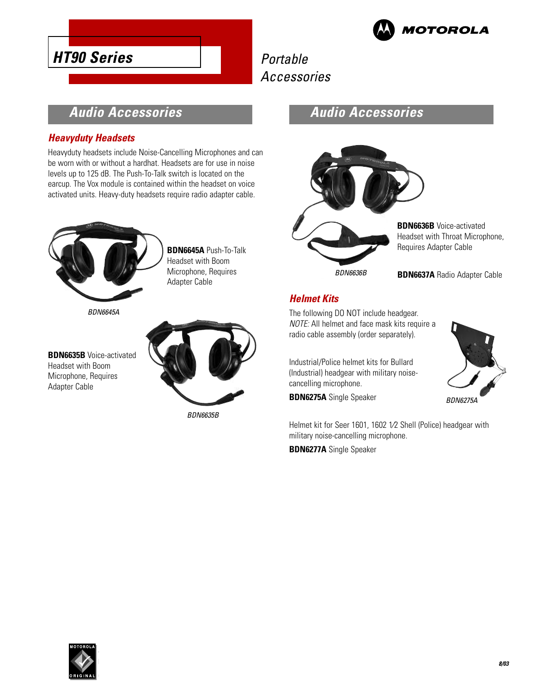

# Portable Accessories

### **Audio Accessories**

### **Heavyduty Headsets**

**HT90 Series**

Heavyduty headsets include Noise-Cancelling Microphones and can be worn with or without a hardhat. Headsets are for use in noise levels up to 125 dB. The Push-To-Talk switch is located on the earcup. The Vox module is contained within the headset on voice activated units. Heavy-duty headsets require radio adapter cable.



**BDN6645A** Push-To-Talk Headset with Boom Microphone, Requires Adapter Cable

BDN6645A

**BDN6635B** Voice-activated Headset with Boom Microphone, Requires Adapter Cable



BDN6635B

### **Audio Accessories**



**BDN6636B** Voice-activated Headset with Throat Microphone, Requires Adapter Cable

BDN6636B

**BDN6637A** Radio Adapter Cable

### **Helmet Kits**

The following DO NOT include headgear. NOTE: All helmet and face mask kits require a radio cable assembly (order separately).

Industrial/Police helmet kits for Bullard (Industrial) headgear with military noisecancelling microphone.

**BDN6275A** Single Speaker



BDN6275A

Helmet kit for Seer 1601, 1602 1⁄2 Shell (Police) headgear with military noise-cancelling microphone.

**BDN6277A** Single Speaker

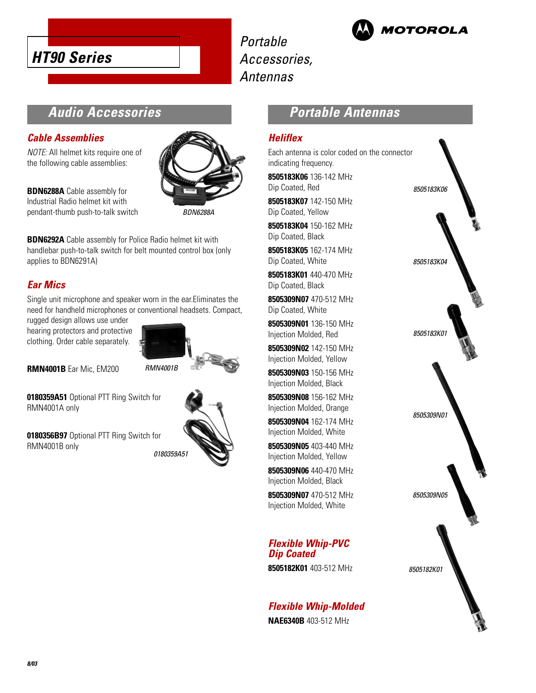

Portable Accessories, Antennas



## **Audio Accessories**

#### **Cable Assemblies**

NOTE: All helmet kits require one of the following cable assemblies:

**BDN6288A** Cable assembly for Industrial Radio helmet kit with pendant-thumb push-to-talk switch



BDN6288A

**BDN6292A** Cable assembly for Police Radio helmet kit with handlebar push-to-talk switch for belt mounted control box (only applies to BDN6291A)

### **Ear Mics**

Single unit microphone and speaker worn in the ear.Eliminates the need for handheld microphones or conventional headsets. Compact,

rugged design allows use under hearing protectors and protective clothing. Order cable separately.



**RMN4001B** Ear Mic, EM200

**0180359A51** Optional PTT Ring Switch for RMN4001A only

**0180356B97** Optional PTT Ring Switch for RMN4001B only



### **Portable Antennas**

#### **Heliflex**

Each antenna is color coded on the connector indicating frequency.

**8505183K06** 136-142 MHz Dip Coated, Red

**8505183K07** 142-150 MHz Dip Coated, Yellow

**8505183K04** 150-162 MHz Dip Coated, Black

**8505183K05** 162-174 MHz Dip Coated, White

**8505183K01** 440-470 MHz Dip Coated, Black

**8505309N07** 470-512 MHz Dip Coated, White

**8505309N01** 136-150 MHz Injection Molded, Red

**8505309N02** 142-150 MHz Injection Molded, Yellow

**8505309N03** 150-156 MHz Injection Molded, Black

**8505309N08** 156-162 MHz Injection Molded, Orange

**8505309N04** 162-174 MHz Injection Molded, White

**8505309N05** 403-440 MHz Injection Molded, Yellow

**8505309N06** 440-470 MHz Injection Molded, Black

**8505309N07** 470-512 MHz Injection Molded, White

### **Flexible Whip-PVC Dip Coated**

**8505182K01** 403-512 MHz

### **Flexible Whip-Molded**

**NAE6340B** 403-512 MHz